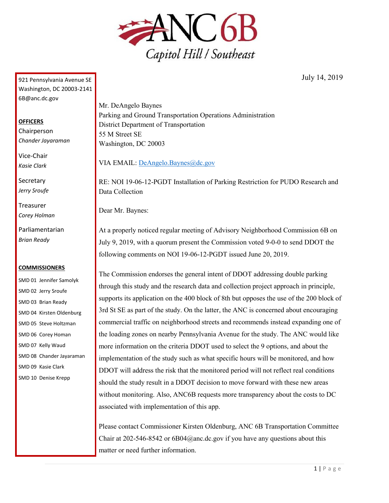

July 14, 2019

921 Pennsylvania Avenue SE Washington, DC 20003-2141 6B@anc.dc.gov

## **OFFICERS**

Chairperson *Chander Jayaraman*

Vice-Chair *Kasie Clark*

**Secretary** *Jerry Sroufe*

Treasurer *Corey Holman*

Parliamentarian *Brian Ready*

## **COMMISSIONERS**

SMD 01 Jennifer Samolyk SMD 02 Jerry Sroufe SMD 03 Brian Ready SMD 04 Kirsten Oldenburg SMD 05 Steve Holtzman SMD 06 Corey Homan SMD 07 Kelly Waud SMD 08 Chander Jayaraman SMD 09 Kasie Clark SMD 10 Denise Krepp

Mr. DeAngelo Baynes Parking and Ground Transportation Operations Administration District Department of Transportation 55 M Street SE Washington, DC 20003

VIA EMAIL: [DeAngelo.Baynes@dc.gov](mailto:DeAngelo.Baynes@dc.gov)

RE: NOI 19-06-12-PGDT Installation of Parking Restriction for PUDO Research and Data Collection

Dear Mr. Baynes:

At a properly noticed regular meeting of Advisory Neighborhood Commission 6B on July 9, 2019, with a quorum present the Commission voted 9-0-0 to send DDOT the following comments on NOI 19-06-12-PGDT issued June 20, 2019.

The Commission endorses the general intent of DDOT addressing double parking through this study and the research data and collection project approach in principle, supports its application on the 400 block of 8th but opposes the use of the 200 block of 3rd St SE as part of the study. On the latter, the ANC is concerned about encouraging commercial traffic on neighborhood streets and recommends instead expanding one of the loading zones on nearby Pennsylvania Avenue for the study. The ANC would like more information on the criteria DDOT used to select the 9 options, and about the implementation of the study such as what specific hours will be monitored, and how DDOT will address the risk that the monitored period will not reflect real conditions should the study result in a DDOT decision to move forward with these new areas without monitoring. Also, ANC6B requests more transparency about the costs to DC associated with implementation of this app.

Please contact Commissioner Kirsten Oldenburg, ANC 6B Transportation Committee Chair at 202-546-8542 or 6B04@anc.dc.gov if you have any questions about this matter or need further information.